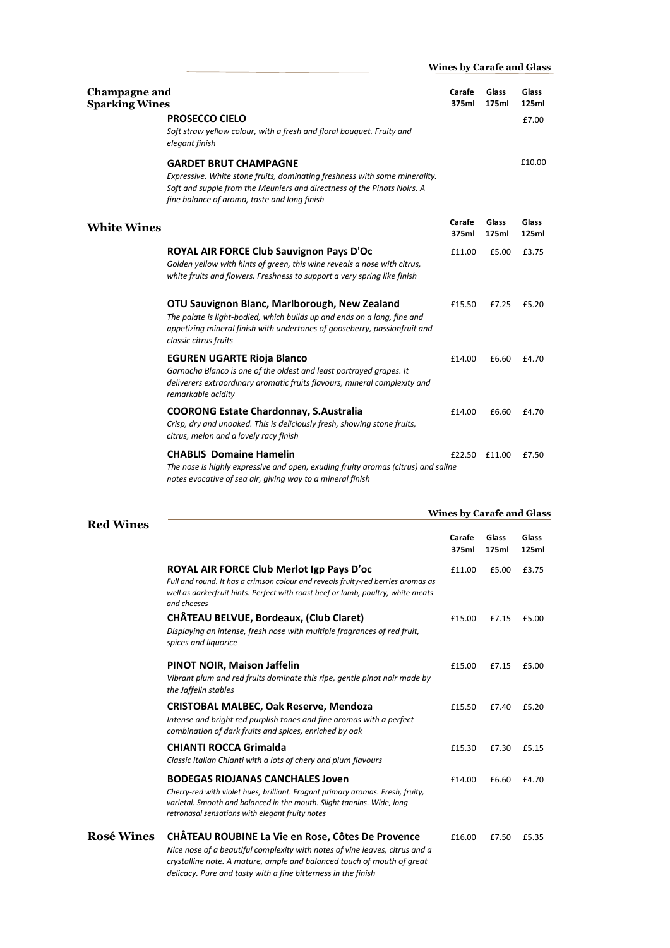| <b>Champagne and</b><br><b>Sparking Wines</b> | <b>PROSECCO CIELO</b><br>Soft straw yellow colour, with a fresh and floral bouquet. Fruity and<br>elegant finish                                                                                                                      | Carafe<br>375ml | Glass<br>175ml | Glass<br>125ml<br>£7.00 |
|-----------------------------------------------|---------------------------------------------------------------------------------------------------------------------------------------------------------------------------------------------------------------------------------------|-----------------|----------------|-------------------------|
|                                               | <b>GARDET BRUT CHAMPAGNE</b><br>Expressive. White stone fruits, dominating freshness with some minerality.<br>Soft and supple from the Meuniers and directness of the Pinots Noirs. A<br>fine balance of aroma, taste and long finish |                 |                | £10.00                  |
| <b>White Wines</b>                            |                                                                                                                                                                                                                                       | Carafe<br>375ml | Glass<br>175ml | Glass<br>125ml          |
|                                               | ROYAL AIR FORCE Club Sauvignon Pays D'Oc<br>Golden yellow with hints of green, this wine reveals a nose with citrus,<br>white fruits and flowers. Freshness to support a very spring like finish                                      | £11.00          | £5.00          | £3.75                   |
|                                               | OTU Sauvignon Blanc, Marlborough, New Zealand<br>The palate is light-bodied, which builds up and ends on a long, fine and<br>appetizing mineral finish with undertones of gooseberry, passionfruit and<br>classic citrus fruits       | £15.50          | £7.25          | £5.20                   |
|                                               | <b>EGUREN UGARTE Rioja Blanco</b><br>Garnacha Blanco is one of the oldest and least portrayed grapes. It<br>deliverers extraordinary aromatic fruits flavours, mineral complexity and<br>remarkable acidity                           | £14.00          | £6.60          | £4.70                   |
|                                               | <b>COORONG Estate Chardonnay, S.Australia</b><br>Crisp, dry and unoaked. This is deliciously fresh, showing stone fruits,<br>citrus, melon and a lovely racy finish                                                                   | £14.00          | £6.60          | £4.70                   |
|                                               | <b>CHABLIS Domaine Hamelin</b><br>The nose is highly expressive and open, exuding fruity aromas (citrus) and saline<br>notes evocative of sea air, giving way to a mineral finish                                                     | £22.50          | £11.00         | £7.50                   |

 **Wines by Carafe and Glass**

|                   |                                                                                                                                                                                                                                                                             |                 | <b>Wines by Carafe and Glass</b> |                |  |
|-------------------|-----------------------------------------------------------------------------------------------------------------------------------------------------------------------------------------------------------------------------------------------------------------------------|-----------------|----------------------------------|----------------|--|
| <b>Red Wines</b>  |                                                                                                                                                                                                                                                                             | Carafe<br>375ml | Glass<br>175ml                   | Glass<br>125ml |  |
|                   | ROYAL AIR FORCE Club Merlot Igp Pays D'oc<br>Full and round. It has a crimson colour and reveals fruity-red berries aromas as<br>well as darkerfruit hints. Perfect with roast beef or lamb, poultry, white meats<br>and cheeses                                            | £11.00          | £5.00                            | £3.75          |  |
|                   | CHÂTEAU BELVUE, Bordeaux, (Club Claret)<br>Displaying an intense, fresh nose with multiple fragrances of red fruit,<br>spices and liquorice                                                                                                                                 | £15.00          | £7.15                            | £5.00          |  |
|                   | PINOT NOIR, Maison Jaffelin<br>Vibrant plum and red fruits dominate this ripe, gentle pinot noir made by<br>the Jaffelin stables                                                                                                                                            | £15.00          | £7.15                            | £5.00          |  |
|                   | <b>CRISTOBAL MALBEC, Oak Reserve, Mendoza</b><br>Intense and bright red purplish tones and fine aromas with a perfect<br>combination of dark fruits and spices, enriched by oak                                                                                             | £15.50          | £7.40                            | £5.20          |  |
|                   | <b>CHIANTI ROCCA Grimalda</b><br>Classic Italian Chianti with a lots of chery and plum flavours                                                                                                                                                                             | £15.30          | £7.30                            | £5.15          |  |
|                   | <b>BODEGAS RIOJANAS CANCHALES Joven</b><br>Cherry-red with violet hues, brilliant. Fragant primary aromas. Fresh, fruity,<br>varietal. Smooth and balanced in the mouth. Slight tannins. Wide, long<br>retronasal sensations with elegant fruity notes                      | £14.00          | £6.60                            | £4.70          |  |
| <b>Rosé Wines</b> | CHÂTEAU ROUBINE La Vie en Rose, Côtes De Provence<br>Nice nose of a beautiful complexity with notes of vine leaves, citrus and a<br>crystalline note. A mature, ample and balanced touch of mouth of great<br>delicacy. Pure and tasty with a fine bitterness in the finish | £16.00          | £7.50                            | £5.35          |  |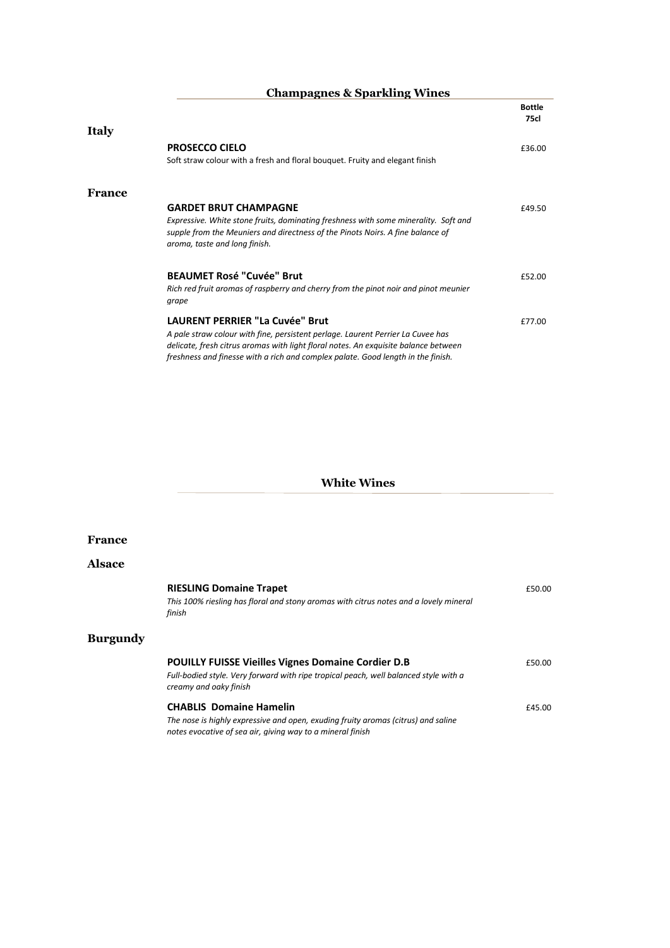|              | <b>Champagnes &amp; Sparkling Wines</b>                                                                                                                                                                |               |
|--------------|--------------------------------------------------------------------------------------------------------------------------------------------------------------------------------------------------------|---------------|
|              |                                                                                                                                                                                                        | <b>Bottle</b> |
|              |                                                                                                                                                                                                        | <b>75cl</b>   |
| <b>Italy</b> |                                                                                                                                                                                                        |               |
|              | <b>PROSECCO CIELO</b>                                                                                                                                                                                  | £36.00        |
|              | Soft straw colour with a fresh and floral bouquet. Fruity and elegant finish                                                                                                                           |               |
| France       |                                                                                                                                                                                                        |               |
|              | <b>GARDET BRUT CHAMPAGNE</b>                                                                                                                                                                           | £49.50        |
|              | Expressive. White stone fruits, dominating freshness with some minerality. Soft and<br>supple from the Meuniers and directness of the Pinots Noirs. A fine balance of<br>aroma, taste and long finish. |               |
|              | <b>BEAUMET Rosé "Cuvée" Brut</b>                                                                                                                                                                       | £52.00        |
|              | Rich red fruit aromas of raspberry and cherry from the pinot noir and pinot meunier<br>grape                                                                                                           |               |
|              | <b>LAURENT PERRIER "La Cuvée" Brut</b>                                                                                                                                                                 | £77.00        |
|              | A pale straw colour with fine, persistent perlage. Laurent Perrier La Cuvee has                                                                                                                        |               |
|              | delicate, fresh citrus aromas with light floral notes. An exquisite balance between                                                                                                                    |               |
|              | freshness and finesse with a rich and complex palate. Good length in the finish.                                                                                                                       |               |

## **White Wines**

#### **France**

## **Alsace**

**Burgundy**

| <b>RIESLING Domaine Trapet</b>                                                        | £50.00 |
|---------------------------------------------------------------------------------------|--------|
| This 100% riesling has floral and stony aromas with citrus notes and a lovely mineral |        |
| finish                                                                                |        |
|                                                                                       |        |
|                                                                                       |        |
| <b>POUILLY FUISSE Vieilles Vignes Domaine Cordier D.B</b>                             | £50.00 |
| Full-bodied style. Very forward with ripe tropical peach, well balanced style with a  |        |
| creamy and oaky finish                                                                |        |
| <b>CHABLIS Domaine Hamelin</b>                                                        | £45.00 |
| The nose is highly expressive and open, exuding fruity aromas (citrus) and saline     |        |
| notes evocative of sea air, giving way to a mineral finish                            |        |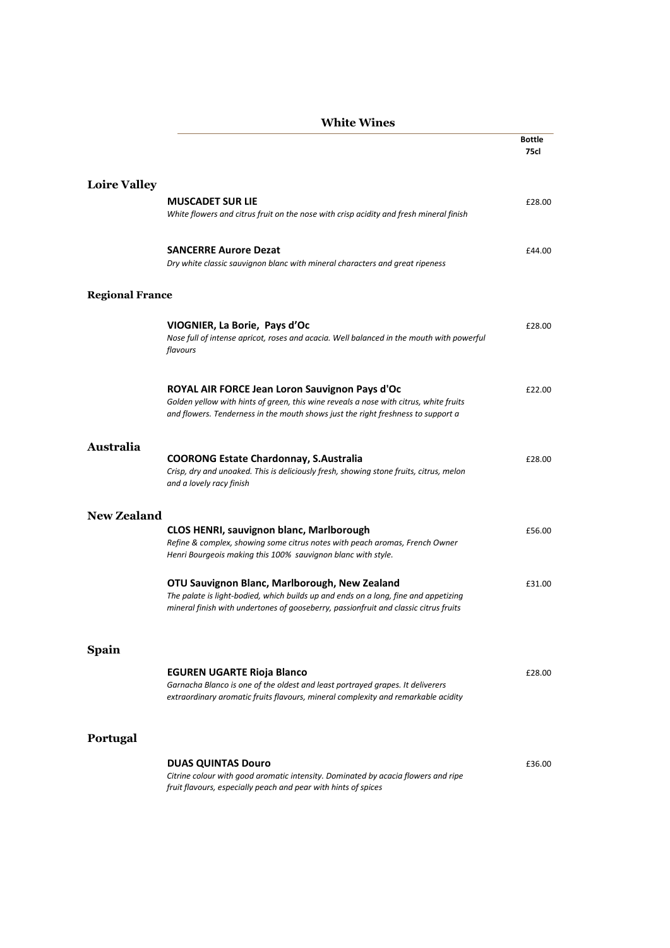|                        | <b>White Wines</b>                                                                                                                                                                                                           |                       |
|------------------------|------------------------------------------------------------------------------------------------------------------------------------------------------------------------------------------------------------------------------|-----------------------|
|                        |                                                                                                                                                                                                                              | <b>Bottle</b><br>75cl |
| <b>Loire Valley</b>    |                                                                                                                                                                                                                              |                       |
|                        | <b>MUSCADET SUR LIE</b><br>White flowers and citrus fruit on the nose with crisp acidity and fresh mineral finish                                                                                                            | £28.00                |
|                        | <b>SANCERRE Aurore Dezat</b><br>Dry white classic sauvignon blanc with mineral characters and great ripeness                                                                                                                 | £44.00                |
| <b>Regional France</b> |                                                                                                                                                                                                                              |                       |
|                        | VIOGNIER, La Borie, Pays d'Oc<br>Nose full of intense apricot, roses and acacia. Well balanced in the mouth with powerful<br>flavours                                                                                        | £28.00                |
|                        | ROYAL AIR FORCE Jean Loron Sauvignon Pays d'Oc<br>Golden yellow with hints of green, this wine reveals a nose with citrus, white fruits<br>and flowers. Tenderness in the mouth shows just the right freshness to support a  | £22.00                |
| <b>Australia</b>       | <b>COORONG Estate Chardonnay, S.Australia</b><br>Crisp, dry and unoaked. This is deliciously fresh, showing stone fruits, citrus, melon<br>and a lovely racy finish                                                          | £28.00                |
| New Zealand            |                                                                                                                                                                                                                              |                       |
|                        | <b>CLOS HENRI, sauvignon blanc, Marlborough</b><br>Refine & complex, showing some citrus notes with peach aromas, French Owner<br>Henri Bourgeois making this 100% sauvignon blanc with style.                               | £56.00                |
|                        | OTU Sauvignon Blanc, Marlborough, New Zealand<br>The palate is light-bodied, which builds up and ends on a long, fine and appetizing<br>mineral finish with undertones of gooseberry, passionfruit and classic citrus fruits | £31.00                |
| <b>Spain</b>           |                                                                                                                                                                                                                              |                       |
|                        | <b>EGUREN UGARTE Rioja Blanco</b><br>Garnacha Blanco is one of the oldest and least portrayed grapes. It deliverers<br>extraordinary aromatic fruits flavours, mineral complexity and remarkable acidity                     | £28.00                |
| Portugal               |                                                                                                                                                                                                                              |                       |
|                        | <b>DUAS QUINTAS Douro</b><br>Citrine colour with good aromatic intensity. Dominated by acacia flowers and ripe<br>fruit flavours, especially peach and pear with hints of spices                                             | £36.00                |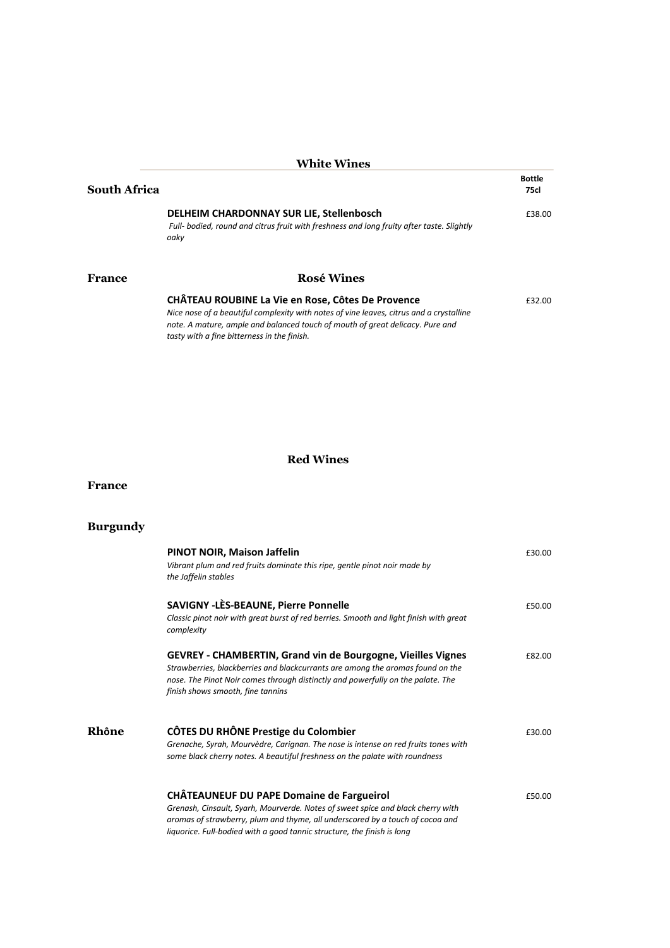|                     | <b>White Wines</b>                                                                                                                                                                                                                                                           |                       |
|---------------------|------------------------------------------------------------------------------------------------------------------------------------------------------------------------------------------------------------------------------------------------------------------------------|-----------------------|
| <b>South Africa</b> |                                                                                                                                                                                                                                                                              | <b>Bottle</b><br>75cl |
|                     | DELHEIM CHARDONNAY SUR LIE, Stellenbosch<br>Full- bodied, round and citrus fruit with freshness and long fruity after taste. Slightly<br>oakv                                                                                                                                | £38.00                |
| France              | <b>Rosé Wines</b>                                                                                                                                                                                                                                                            |                       |
|                     | CHÂTEAU ROUBINE La Vie en Rose, Côtes De Provence<br>Nice nose of a beautiful complexity with notes of vine leaves, citrus and a crystalline<br>note. A mature, ample and balanced touch of mouth of great delicacy. Pure and<br>tasty with a fine bitterness in the finish. | £32.00                |

## **Red Wines**

#### **France**

# **Burgundy**

|       | <b>PINOT NOIR, Maison Jaffelin</b><br>Vibrant plum and red fruits dominate this ripe, gentle pinot noir made by<br>the Jaffelin stables                                                                                                                                                         | £30.00 |
|-------|-------------------------------------------------------------------------------------------------------------------------------------------------------------------------------------------------------------------------------------------------------------------------------------------------|--------|
|       | <b>SAVIGNY - LÈS-BEAUNE, Pierre Ponnelle</b><br>Classic pinot noir with great burst of red berries. Smooth and light finish with great<br>complexity                                                                                                                                            | £50.00 |
|       | <b>GEVREY - CHAMBERTIN, Grand vin de Bourgogne, Vieilles Vignes</b><br>Strawberries, blackberries and blackcurrants are among the aromas found on the<br>nose. The Pinot Noir comes through distinctly and powerfully on the palate. The<br>finish shows smooth, fine tannins                   | £82.00 |
| Rhône | CÔTES DU RHÔNE Prestige du Colombier<br>Grenache, Syrah, Mourvèdre, Carignan. The nose is intense on red fruits tones with<br>some black cherry notes. A beautiful freshness on the palate with roundness                                                                                       | £30.00 |
|       | <b>CHÂTEAUNEUF DU PAPE Domaine de Fargueirol</b><br>Grenash, Cinsault, Syarh, Mourverde. Notes of sweet spice and black cherry with<br>aromas of strawberry, plum and thyme, all underscored by a touch of cocoa and<br>liquorice. Full-bodied with a good tannic structure, the finish is long | £50.00 |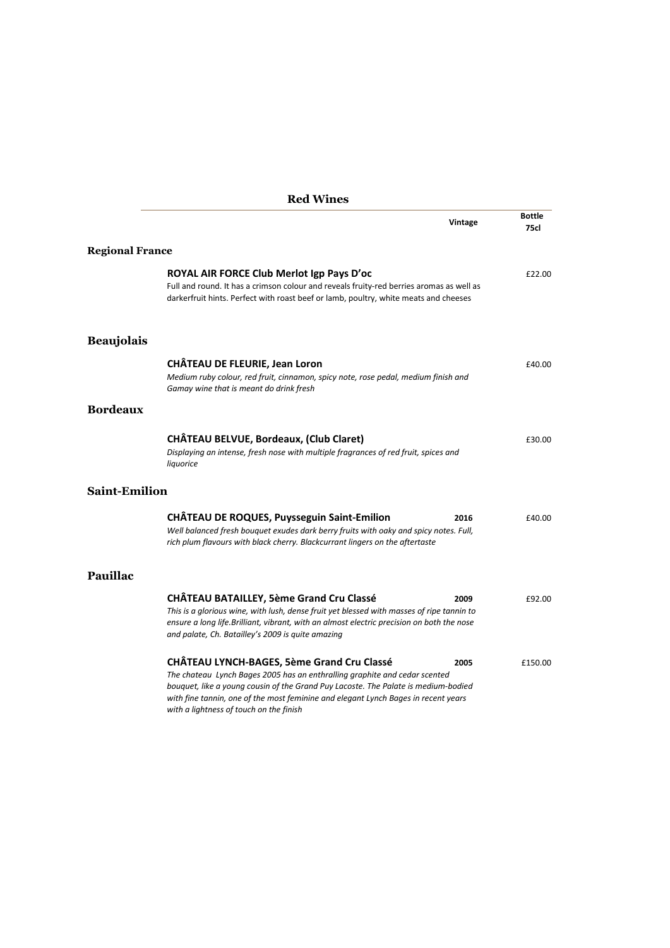|                        | <b>Red Wines</b>                                                                                                                                                                                                                                                                                                                                       |         |                              |
|------------------------|--------------------------------------------------------------------------------------------------------------------------------------------------------------------------------------------------------------------------------------------------------------------------------------------------------------------------------------------------------|---------|------------------------------|
|                        |                                                                                                                                                                                                                                                                                                                                                        | Vintage | <b>Bottle</b><br><b>75cl</b> |
| <b>Regional France</b> |                                                                                                                                                                                                                                                                                                                                                        |         |                              |
|                        | ROYAL AIR FORCE Club Merlot Igp Pays D'oc<br>Full and round. It has a crimson colour and reveals fruity-red berries aromas as well as<br>darkerfruit hints. Perfect with roast beef or lamb, poultry, white meats and cheeses                                                                                                                          |         | £22.00                       |
| <b>Beaujolais</b>      |                                                                                                                                                                                                                                                                                                                                                        |         |                              |
|                        | <b>CHÂTEAU DE FLEURIE, Jean Loron</b><br>Medium ruby colour, red fruit, cinnamon, spicy note, rose pedal, medium finish and<br>Gamay wine that is meant do drink fresh                                                                                                                                                                                 |         | £40.00                       |
| <b>Bordeaux</b>        |                                                                                                                                                                                                                                                                                                                                                        |         |                              |
|                        | CHÂTEAU BELVUE, Bordeaux, (Club Claret)<br>Displaying an intense, fresh nose with multiple fragrances of red fruit, spices and<br>liquorice                                                                                                                                                                                                            |         | £30.00                       |
| <b>Saint-Emilion</b>   |                                                                                                                                                                                                                                                                                                                                                        |         |                              |
|                        | CHÂTEAU DE ROQUES, Puysseguin Saint-Emilion<br>Well balanced fresh bouquet exudes dark berry fruits with oaky and spicy notes. Full,<br>rich plum flavours with black cherry. Blackcurrant lingers on the aftertaste                                                                                                                                   | 2016    | £40.00                       |
| <b>Pauillac</b>        |                                                                                                                                                                                                                                                                                                                                                        |         |                              |
|                        | <b>CHÂTEAU BATAILLEY, 5ème Grand Cru Classé</b><br>This is a glorious wine, with lush, dense fruit yet blessed with masses of ripe tannin to<br>ensure a long life.Brilliant, vibrant, with an almost electric precision on both the nose<br>and palate, Ch. Batailley's 2009 is quite amazing                                                         | 2009    | £92.00                       |
|                        | <b>CHÂTEAU LYNCH-BAGES, 5ème Grand Cru Classé</b><br>The chateau Lynch Bages 2005 has an enthralling graphite and cedar scented<br>bouquet, like a young cousin of the Grand Puy Lacoste. The Palate is medium-bodied<br>with fine tannin, one of the most feminine and elegant Lynch Bages in recent years<br>with a lightness of touch on the finish | 2005    | £150.00                      |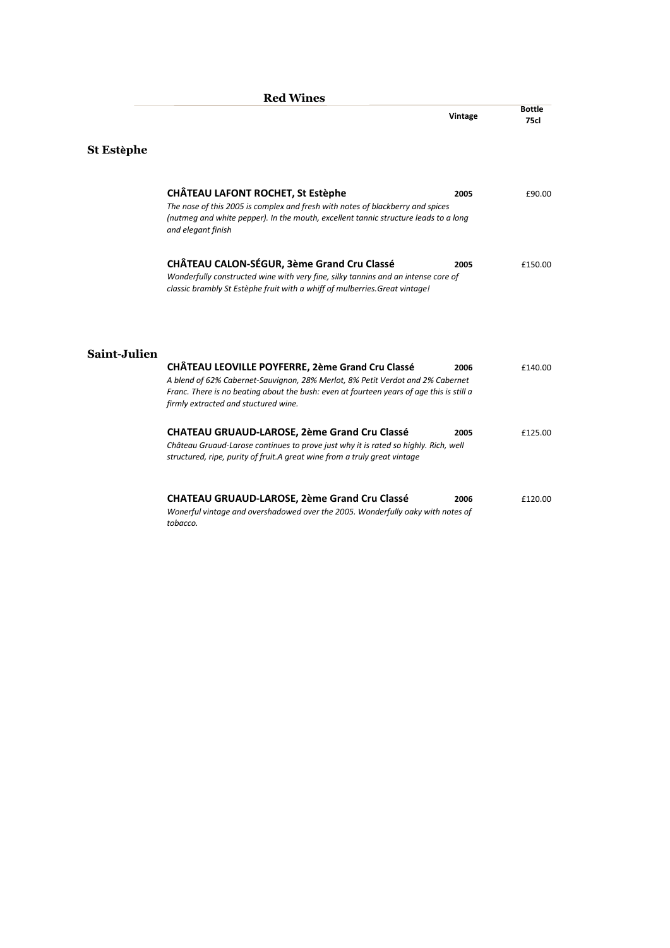|              | <b>Red Wines</b>                                                                                                                                                                                                                                                              |         |                       |
|--------------|-------------------------------------------------------------------------------------------------------------------------------------------------------------------------------------------------------------------------------------------------------------------------------|---------|-----------------------|
|              |                                                                                                                                                                                                                                                                               | Vintage | Bottle<br><b>75cl</b> |
| St Estèphe   |                                                                                                                                                                                                                                                                               |         |                       |
|              | <b>CHÂTEAU LAFONT ROCHET, St Estèphe</b><br>The nose of this 2005 is complex and fresh with notes of blackberry and spices<br>(nutmeg and white pepper). In the mouth, excellent tannic structure leads to a long<br>and elegant finish                                       | 2005    | £90.00                |
|              | CHÂTEAU CALON-SÉGUR, 3ème Grand Cru Classé<br>Wonderfully constructed wine with very fine, silky tannins and an intense core of<br>classic brambly St Estèphe fruit with a whiff of mulberries. Great vintage!                                                                | 2005    | £150.00               |
| Saint-Julien | <b>CHÂTEAU LEOVILLE POYFERRE, 2ème Grand Cru Classé</b><br>A blend of 62% Cabernet-Sauvignon, 28% Merlot, 8% Petit Verdot and 2% Cabernet<br>Franc. There is no beating about the bush: even at fourteen years of age this is still a<br>firmly extracted and stuctured wine. | 2006    | £140.00               |
|              | <b>CHATEAU GRUAUD-LAROSE, 2ème Grand Cru Classé</b><br>Château Gruaud-Larose continues to prove just why it is rated so highly. Rich, well<br>structured, ripe, purity of fruit. A great wine from a truly great vintage                                                      | 2005    | £125.00               |
|              | <b>CHÂTEAU GRUAUD-LAROSE, 2ème Grand Cru Classé</b><br>Wonerful vintage and overshadowed over the 2005. Wonderfully oaky with notes of<br>tobacco.                                                                                                                            | 2006    | £120.00               |